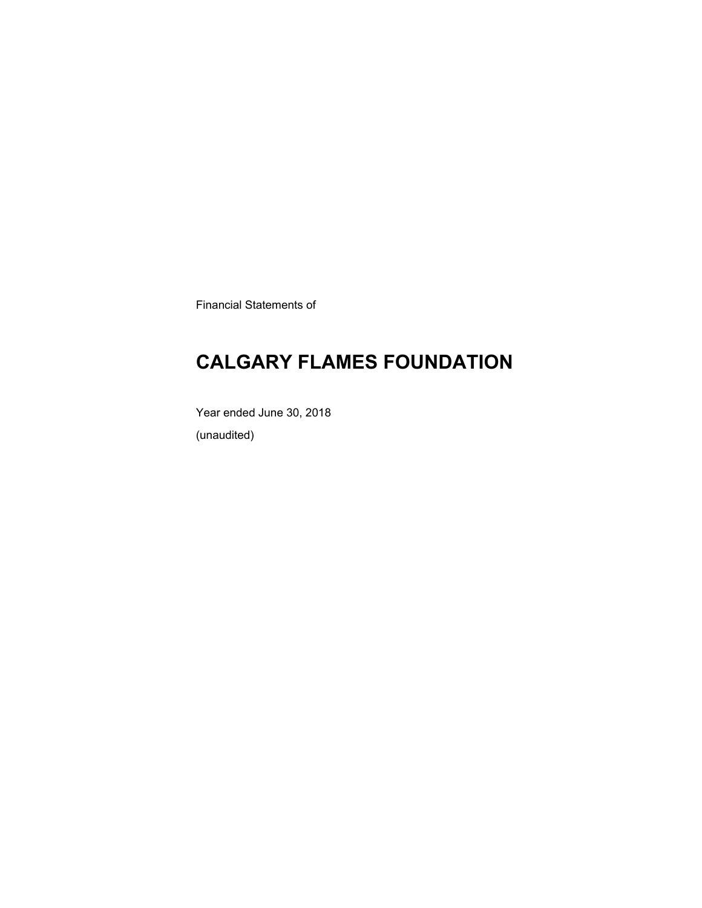Financial Statements of

### **CALGARY FLAMES FOUNDATION**

Year ended June 30, 2018 (unaudited)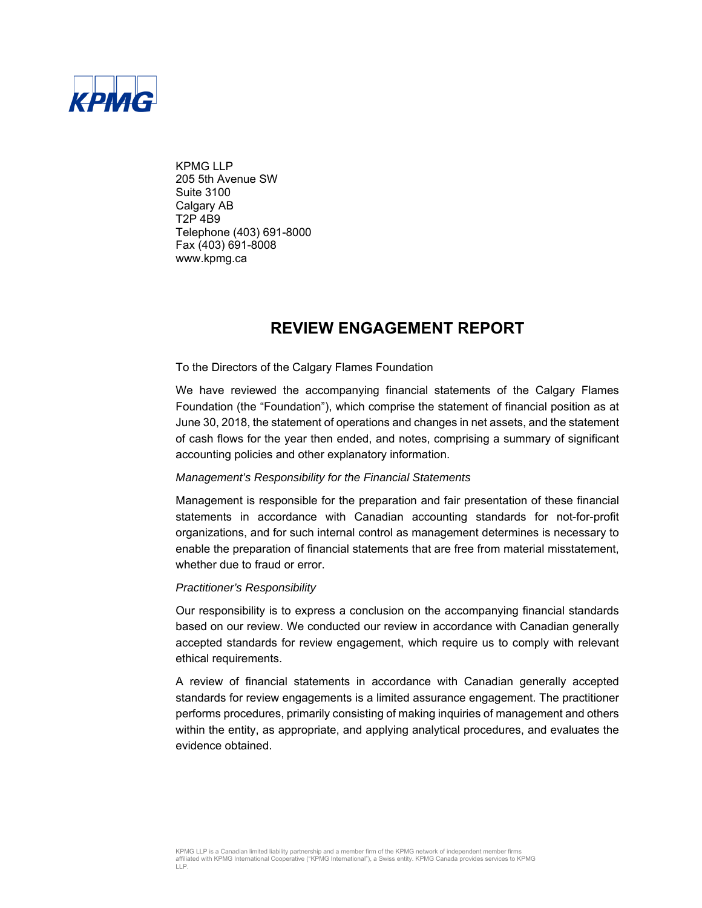

KPMG LLP 205 5th Avenue SW Suite 3100 Calgary AB T2P 4B9 Telephone (403) 691-8000 Fax (403) 691-8008 www.kpmg.ca

### **REVIEW ENGAGEMENT REPORT**

#### To the Directors of the Calgary Flames Foundation

We have reviewed the accompanying financial statements of the Calgary Flames Foundation (the "Foundation"), which comprise the statement of financial position as at June 30, 2018, the statement of operations and changes in net assets, and the statement of cash flows for the year then ended, and notes, comprising a summary of significant accounting policies and other explanatory information.

#### *Management's Responsibility for the Financial Statements*

Management is responsible for the preparation and fair presentation of these financial statements in accordance with Canadian accounting standards for not-for-profit organizations, and for such internal control as management determines is necessary to enable the preparation of financial statements that are free from material misstatement, whether due to fraud or error.

#### *Practitioner's Responsibility*

Our responsibility is to express a conclusion on the accompanying financial standards based on our review. We conducted our review in accordance with Canadian generally accepted standards for review engagement, which require us to comply with relevant ethical requirements.

A review of financial statements in accordance with Canadian generally accepted standards for review engagements is a limited assurance engagement. The practitioner performs procedures, primarily consisting of making inquiries of management and others within the entity, as appropriate, and applying analytical procedures, and evaluates the evidence obtained.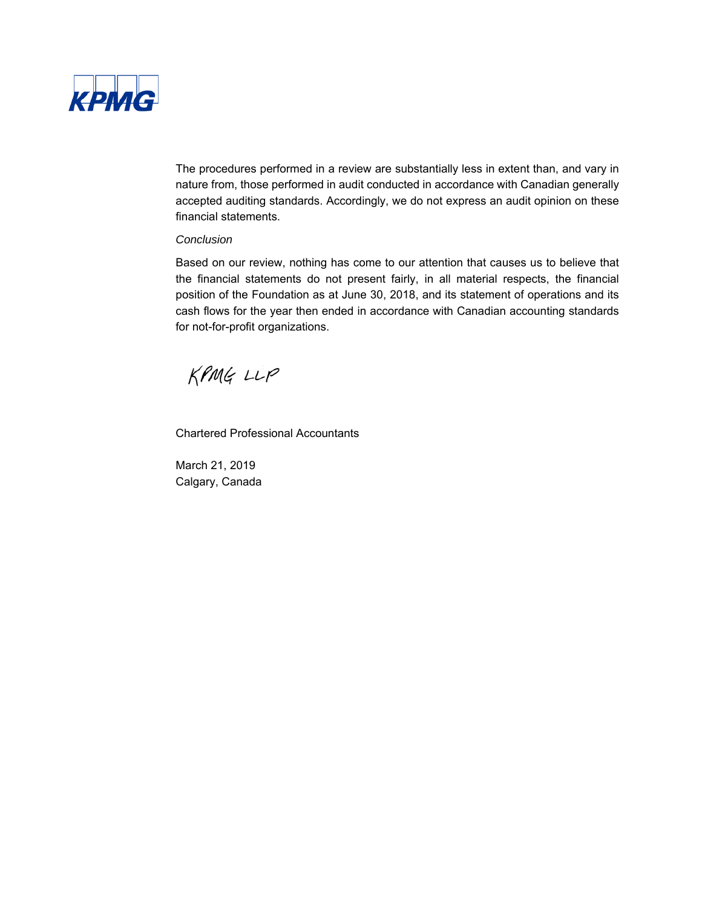

The procedures performed in a review are substantially less in extent than, and vary in nature from, those performed in audit conducted in accordance with Canadian generally accepted auditing standards. Accordingly, we do not express an audit opinion on these financial statements.

#### *Conclusion*

Based on our review, nothing has come to our attention that causes us to believe that the financial statements do not present fairly, in all material respects, the financial position of the Foundation as at June 30, 2018, and its statement of operations and its cash flows for the year then ended in accordance with Canadian accounting standards for not-for-profit organizations.

KPMG LLP

Chartered Professional Accountants

March 21, 2019 Calgary, Canada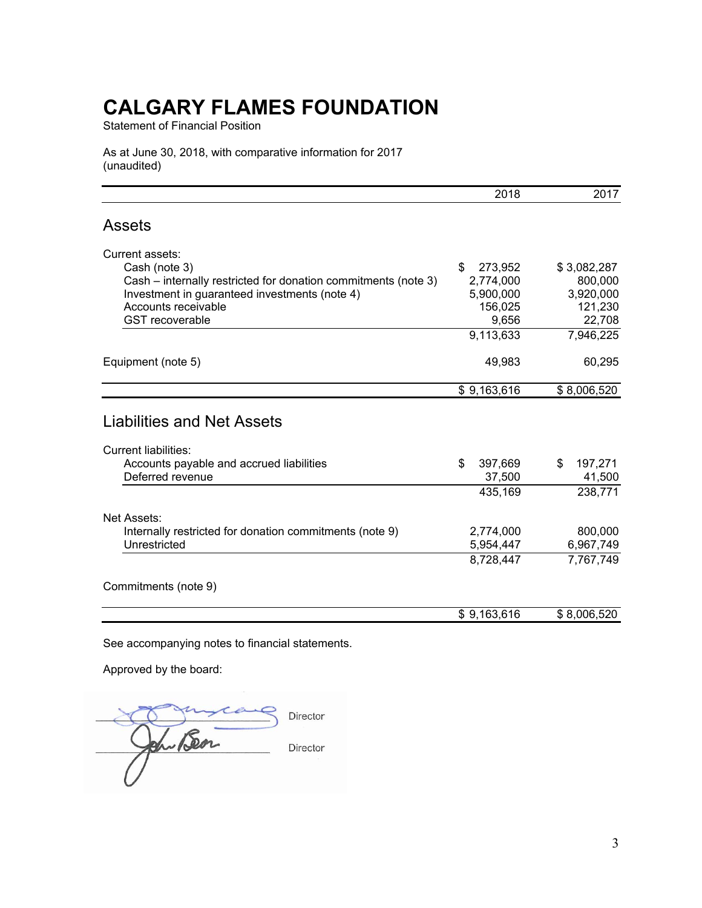Statement of Financial Position

As at June 30, 2018, with comparative information for 2017 (unaudited)

|                                                                                                                                  | 2018                    | 2017                    |
|----------------------------------------------------------------------------------------------------------------------------------|-------------------------|-------------------------|
| <b>Assets</b>                                                                                                                    |                         |                         |
| Current assets:                                                                                                                  |                         |                         |
| Cash (note 3)                                                                                                                    | \$<br>273,952           | \$3,082,287             |
| Cash – internally restricted for donation commitments (note 3)                                                                   | 2,774,000               | 800,000                 |
| Investment in guaranteed investments (note 4)                                                                                    | 5,900,000               | 3,920,000               |
| Accounts receivable                                                                                                              | 156,025                 | 121,230                 |
| <b>GST</b> recoverable                                                                                                           | 9,656                   | 22,708                  |
|                                                                                                                                  | 9,113,633               | 7,946,225               |
| Equipment (note 5)                                                                                                               | 49,983                  | 60,295                  |
|                                                                                                                                  | \$9,163,616             | \$8,006,520             |
| <b>Liabilities and Net Assets</b><br><b>Current liabilities:</b><br>Accounts payable and accrued liabilities<br>Deferred revenue | \$<br>397,669<br>37,500 | 197,271<br>\$<br>41,500 |
|                                                                                                                                  | 435,169                 | 238,771                 |
|                                                                                                                                  |                         |                         |
|                                                                                                                                  |                         |                         |
| Net Assets:                                                                                                                      |                         |                         |
| Internally restricted for donation commitments (note 9)                                                                          | 2,774,000               | 800,000                 |
| Unrestricted                                                                                                                     | 5,954,447<br>8,728,447  | 6,967,749<br>7,767,749  |
| Commitments (note 9)                                                                                                             |                         |                         |

See accompanying notes to financial statements.

Approved by the board:

Director en Bon Director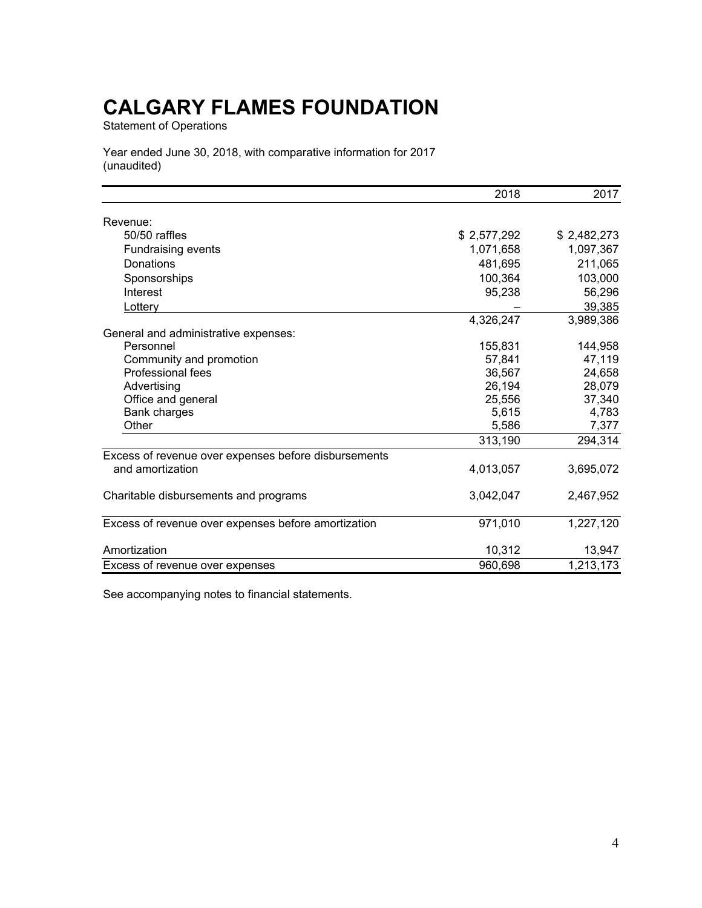Statement of Operations

Year ended June 30, 2018, with comparative information for 2017 (unaudited)

|                                                      | 2018        | 2017        |
|------------------------------------------------------|-------------|-------------|
| Revenue:                                             |             |             |
| 50/50 raffles                                        | \$2,577,292 | \$2,482,273 |
| Fundraising events                                   | 1,071,658   | 1,097,367   |
| Donations                                            | 481,695     | 211,065     |
| Sponsorships                                         | 100,364     | 103,000     |
| Interest                                             | 95,238      | 56,296      |
| Lottery                                              |             | 39,385      |
|                                                      | 4,326,247   | 3,989,386   |
| General and administrative expenses:                 |             |             |
| Personnel                                            | 155,831     | 144,958     |
| Community and promotion                              | 57,841      | 47,119      |
| Professional fees                                    | 36,567      | 24,658      |
| Advertising                                          | 26,194      | 28,079      |
| Office and general                                   | 25,556      | 37,340      |
| Bank charges                                         | 5,615       | 4,783       |
| Other                                                | 5,586       | 7,377       |
|                                                      | 313,190     | 294,314     |
| Excess of revenue over expenses before disbursements |             |             |
| and amortization                                     | 4,013,057   | 3,695,072   |
| Charitable disbursements and programs                | 3,042,047   | 2,467,952   |
| Excess of revenue over expenses before amortization  | 971,010     | 1,227,120   |
| Amortization                                         | 10,312      | 13,947      |
| Excess of revenue over expenses                      | 960,698     | 1,213,173   |

See accompanying notes to financial statements.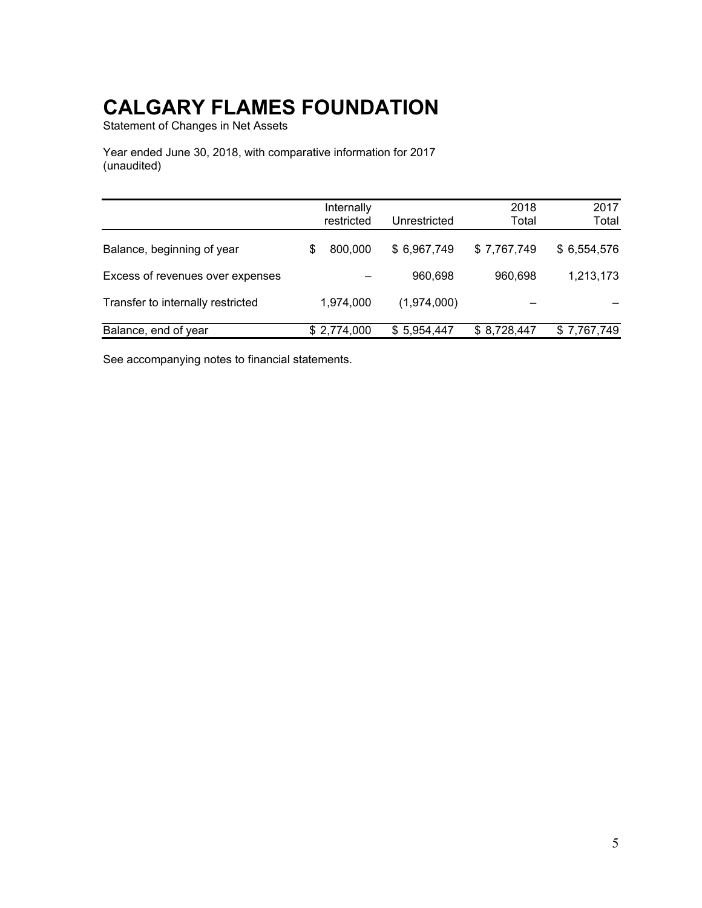Statement of Changes in Net Assets

Year ended June 30, 2018, with comparative information for 2017 (unaudited)

|                                   |                          |              | 2018        | 2017        |
|-----------------------------------|--------------------------|--------------|-------------|-------------|
|                                   | Internally<br>restricted | Unrestricted | Total       | Total       |
|                                   |                          |              |             |             |
| Balance, beginning of year        | 800,000<br>\$            | \$6,967,749  | \$7,767,749 | \$6,554,576 |
| Excess of revenues over expenses  |                          | 960,698      | 960,698     | 1,213,173   |
| Transfer to internally restricted | 1,974,000                | (1,974,000)  |             |             |
| Balance, end of year              | \$2,774,000              | \$5,954,447  | \$8,728,447 | \$7,767,749 |

See accompanying notes to financial statements.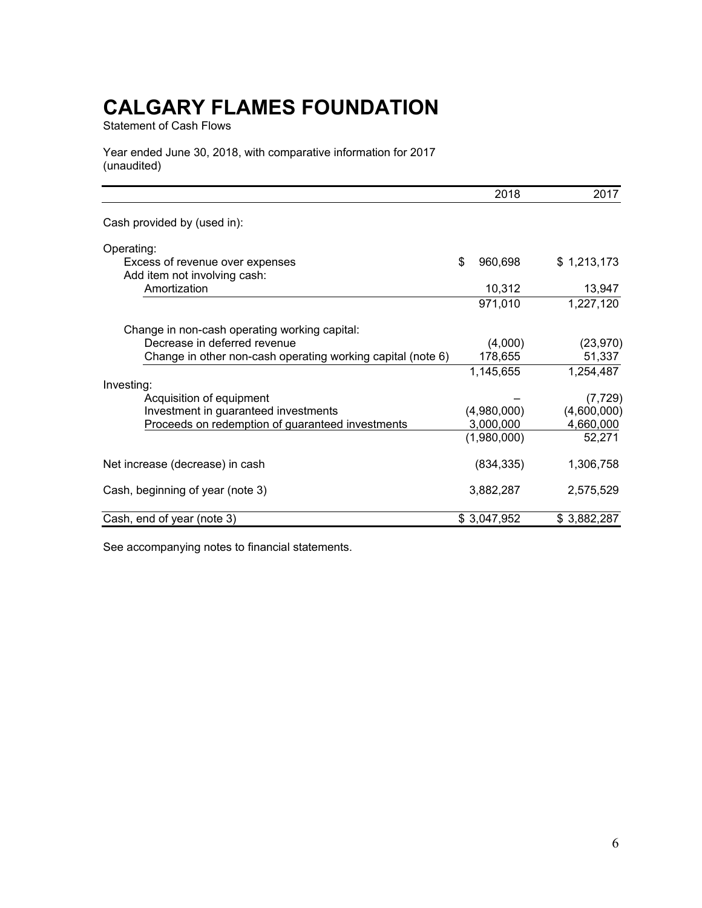Statement of Cash Flows

Year ended June 30, 2018, with comparative information for 2017 (unaudited)

|                                                             | 2018          | 2017        |
|-------------------------------------------------------------|---------------|-------------|
| Cash provided by (used in):                                 |               |             |
| Operating:                                                  |               |             |
| Excess of revenue over expenses                             | \$<br>960,698 | \$1,213,173 |
| Add item not involving cash:                                |               |             |
| Amortization                                                | 10,312        | 13,947      |
|                                                             | 971,010       | 1,227,120   |
| Change in non-cash operating working capital:               |               |             |
| Decrease in deferred revenue                                | (4,000)       | (23, 970)   |
| Change in other non-cash operating working capital (note 6) | 178,655       | 51,337      |
|                                                             | 1,145,655     | 1,254,487   |
| Investing:                                                  |               |             |
| Acquisition of equipment                                    |               | (7, 729)    |
| Investment in guaranteed investments                        | (4,980,000)   | (4,600,000) |
| Proceeds on redemption of guaranteed investments            | 3,000,000     | 4,660,000   |
|                                                             | (1,980,000)   | 52,271      |
| Net increase (decrease) in cash                             | (834, 335)    | 1,306,758   |
| Cash, beginning of year (note 3)                            | 3,882,287     | 2,575,529   |
| Cash, end of year (note 3)                                  | \$3,047,952   | \$3,882,287 |

See accompanying notes to financial statements.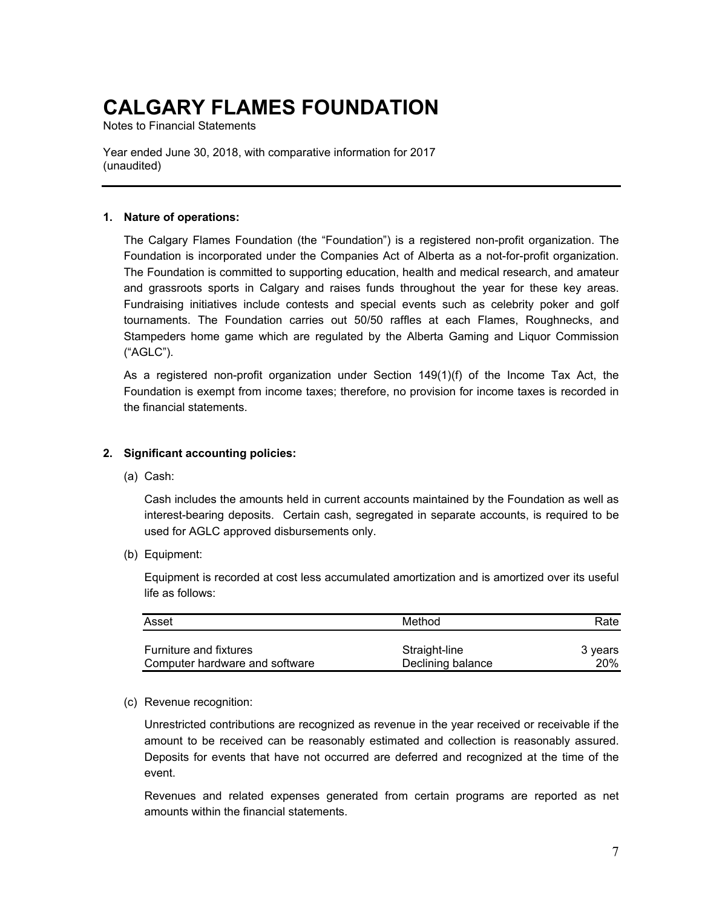Notes to Financial Statements

Year ended June 30, 2018, with comparative information for 2017 (unaudited)

#### **1. Nature of operations:**

The Calgary Flames Foundation (the "Foundation") is a registered non-profit organization. The Foundation is incorporated under the Companies Act of Alberta as a not-for-profit organization. The Foundation is committed to supporting education, health and medical research, and amateur and grassroots sports in Calgary and raises funds throughout the year for these key areas. Fundraising initiatives include contests and special events such as celebrity poker and golf tournaments. The Foundation carries out 50/50 raffles at each Flames, Roughnecks, and Stampeders home game which are regulated by the Alberta Gaming and Liquor Commission ("AGLC").

As a registered non-profit organization under Section 149(1)(f) of the Income Tax Act, the Foundation is exempt from income taxes; therefore, no provision for income taxes is recorded in the financial statements.

### **2. Significant accounting policies:**

(a) Cash:

Cash includes the amounts held in current accounts maintained by the Foundation as well as interest-bearing deposits. Certain cash, segregated in separate accounts, is required to be used for AGLC approved disbursements only.

(b) Equipment:

Equipment is recorded at cost less accumulated amortization and is amortized over its useful life as follows:

| Asset                          | Method            | Rate       |
|--------------------------------|-------------------|------------|
| <b>Furniture and fixtures</b>  | Straight-line     | 3 vears    |
| Computer hardware and software | Declining balance | <b>20%</b> |

(c) Revenue recognition:

Unrestricted contributions are recognized as revenue in the year received or receivable if the amount to be received can be reasonably estimated and collection is reasonably assured. Deposits for events that have not occurred are deferred and recognized at the time of the event.

Revenues and related expenses generated from certain programs are reported as net amounts within the financial statements.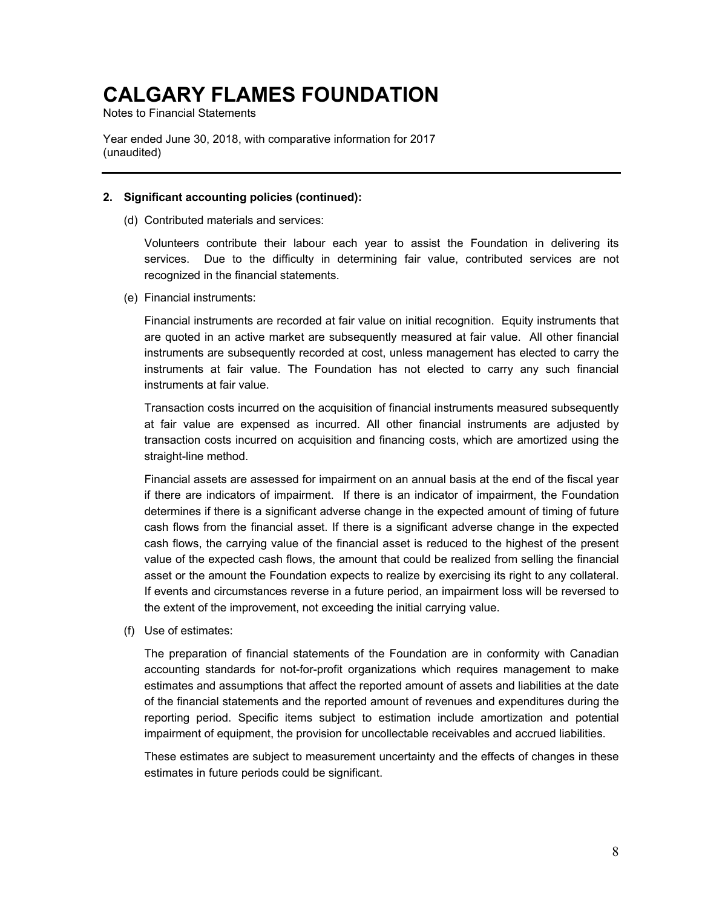Notes to Financial Statements

Year ended June 30, 2018, with comparative information for 2017 (unaudited)

#### **2. Significant accounting policies (continued):**

(d) Contributed materials and services:

Volunteers contribute their labour each year to assist the Foundation in delivering its services. Due to the difficulty in determining fair value, contributed services are not recognized in the financial statements.

(e) Financial instruments:

Financial instruments are recorded at fair value on initial recognition. Equity instruments that are quoted in an active market are subsequently measured at fair value. All other financial instruments are subsequently recorded at cost, unless management has elected to carry the instruments at fair value. The Foundation has not elected to carry any such financial instruments at fair value.

Transaction costs incurred on the acquisition of financial instruments measured subsequently at fair value are expensed as incurred. All other financial instruments are adjusted by transaction costs incurred on acquisition and financing costs, which are amortized using the straight-line method.

Financial assets are assessed for impairment on an annual basis at the end of the fiscal year if there are indicators of impairment. If there is an indicator of impairment, the Foundation determines if there is a significant adverse change in the expected amount of timing of future cash flows from the financial asset. If there is a significant adverse change in the expected cash flows, the carrying value of the financial asset is reduced to the highest of the present value of the expected cash flows, the amount that could be realized from selling the financial asset or the amount the Foundation expects to realize by exercising its right to any collateral. If events and circumstances reverse in a future period, an impairment loss will be reversed to the extent of the improvement, not exceeding the initial carrying value.

(f) Use of estimates:

The preparation of financial statements of the Foundation are in conformity with Canadian accounting standards for not-for-profit organizations which requires management to make estimates and assumptions that affect the reported amount of assets and liabilities at the date of the financial statements and the reported amount of revenues and expenditures during the reporting period. Specific items subject to estimation include amortization and potential impairment of equipment, the provision for uncollectable receivables and accrued liabilities.

These estimates are subject to measurement uncertainty and the effects of changes in these estimates in future periods could be significant.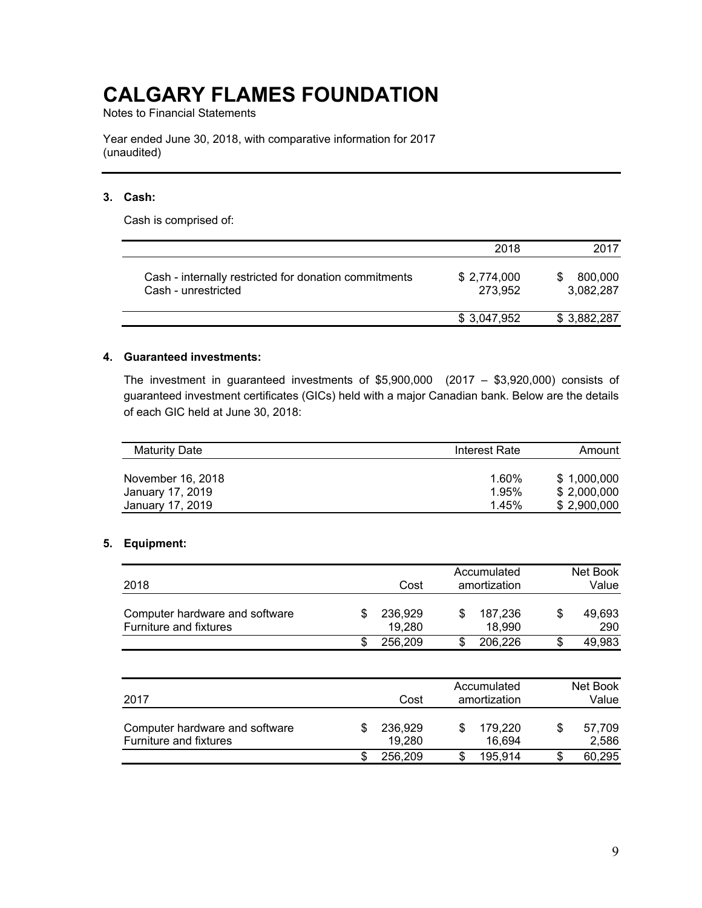Notes to Financial Statements

Year ended June 30, 2018, with comparative information for 2017 (unaudited)

### **3. Cash:**

Cash is comprised of:

|                                                                              | 2018                   | 2017                 |
|------------------------------------------------------------------------------|------------------------|----------------------|
| Cash - internally restricted for donation commitments<br>Cash - unrestricted | \$2,774,000<br>273,952 | 800,000<br>3,082,287 |
|                                                                              | \$ 3,047,952           | \$3,882,287          |

#### **4. Guaranteed investments:**

The investment in guaranteed investments of \$5,900,000 (2017 – \$3,920,000) consists of guaranteed investment certificates (GICs) held with a major Canadian bank. Below are the details of each GIC held at June 30, 2018:

| <b>Maturity Date</b> | Interest Rate | Amount      |
|----------------------|---------------|-------------|
| November 16, 2018    | 1.60%         | \$1.000.000 |
| January 17, 2019     | 1.95%         | \$2,000,000 |
| January 17, 2019     | 1.45%         | \$2.900.000 |

### **5. Equipment:**

| 2018                                                     |  | Cost              | Accumulated<br>amortization | Net Book<br>Value |
|----------------------------------------------------------|--|-------------------|-----------------------------|-------------------|
| Computer hardware and software<br>Furniture and fixtures |  | 236,929<br>19.280 | 187.236<br>18.990           | 49,693<br>290     |
|                                                          |  | 256.209           | 206.226                     | 49,983            |

| 2017                                                     |   | Cost              | Accumulated<br>amortization |   | Net Book<br>Value |
|----------------------------------------------------------|---|-------------------|-----------------------------|---|-------------------|
| Computer hardware and software<br>Furniture and fixtures | S | 236,929<br>19,280 | 179.220<br>16,694           | S | 57,709<br>2,586   |
|                                                          |   | 256,209           | 195.914                     |   | 60,295            |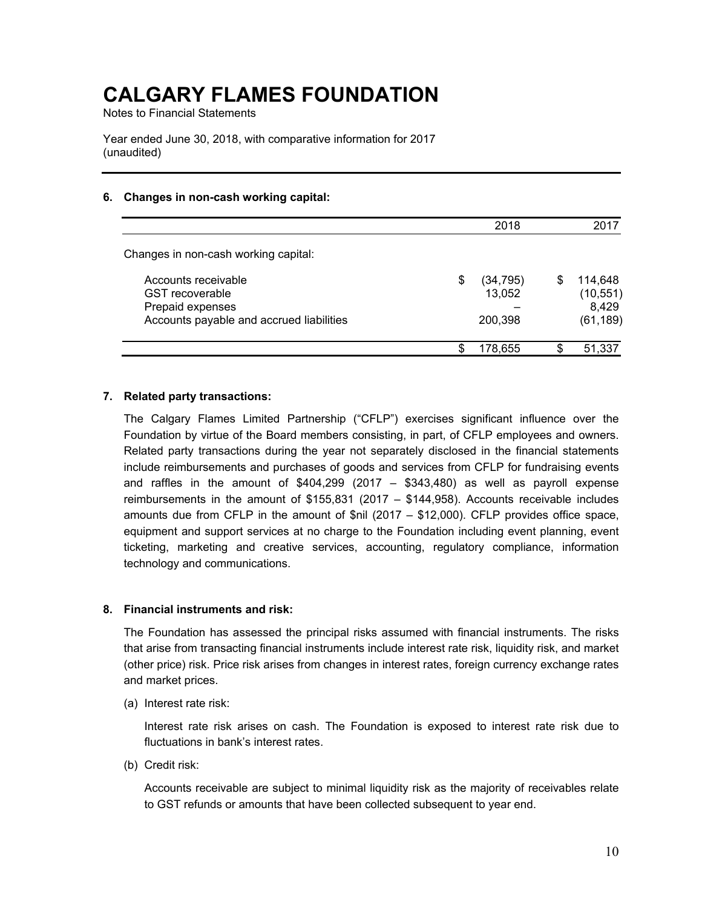Notes to Financial Statements

Year ended June 30, 2018, with comparative information for 2017 (unaudited)

### **6. Changes in non-cash working capital:**

|                                                                                                               |    | 2018                           |    | 2017                                       |
|---------------------------------------------------------------------------------------------------------------|----|--------------------------------|----|--------------------------------------------|
| Changes in non-cash working capital:                                                                          |    |                                |    |                                            |
| Accounts receivable<br><b>GST</b> recoverable<br>Prepaid expenses<br>Accounts payable and accrued liabilities | S  | (34, 795)<br>13,052<br>200,398 | S. | 114.648<br>(10, 551)<br>8,429<br>(61, 189) |
|                                                                                                               | ß. | 178.655                        |    | 51,337                                     |

#### **7. Related party transactions:**

The Calgary Flames Limited Partnership ("CFLP") exercises significant influence over the Foundation by virtue of the Board members consisting, in part, of CFLP employees and owners. Related party transactions during the year not separately disclosed in the financial statements include reimbursements and purchases of goods and services from CFLP for fundraising events and raffles in the amount of  $$404,299$  (2017 -  $$343,480$ ) as well as payroll expense reimbursements in the amount of \$155,831 (2017 – \$144,958). Accounts receivable includes amounts due from CFLP in the amount of \$nil (2017 – \$12,000). CFLP provides office space, equipment and support services at no charge to the Foundation including event planning, event ticketing, marketing and creative services, accounting, regulatory compliance, information technology and communications.

### **8. Financial instruments and risk:**

The Foundation has assessed the principal risks assumed with financial instruments. The risks that arise from transacting financial instruments include interest rate risk, liquidity risk, and market (other price) risk. Price risk arises from changes in interest rates, foreign currency exchange rates and market prices.

(a) Interest rate risk:

Interest rate risk arises on cash. The Foundation is exposed to interest rate risk due to fluctuations in bank's interest rates.

(b) Credit risk:

Accounts receivable are subject to minimal liquidity risk as the majority of receivables relate to GST refunds or amounts that have been collected subsequent to year end.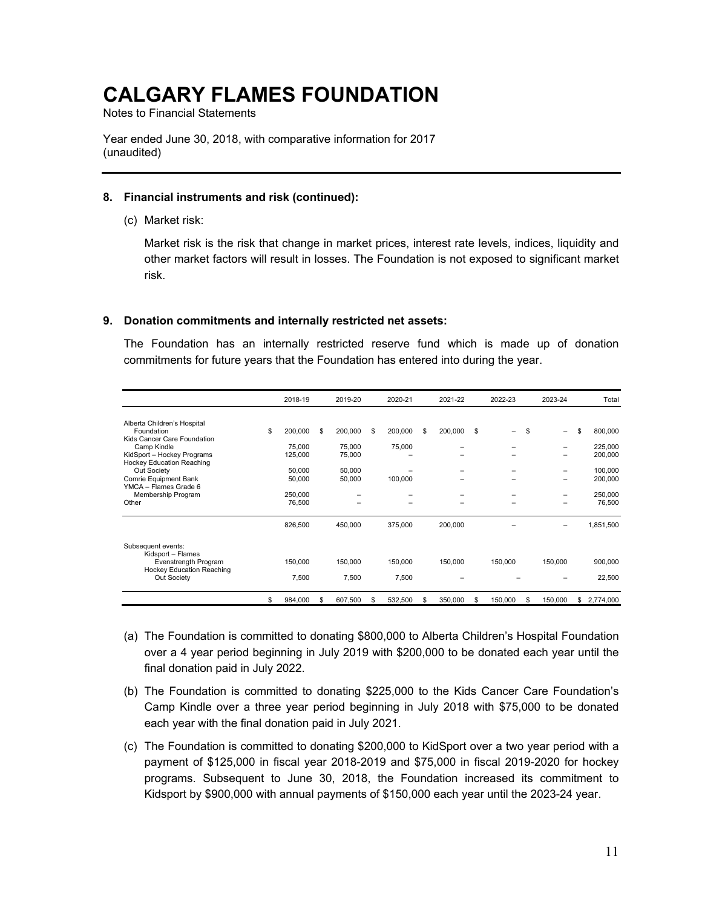Notes to Financial Statements

Year ended June 30, 2018, with comparative information for 2017 (unaudited)

#### **8. Financial instruments and risk (continued):**

(c) Market risk:

Market risk is the risk that change in market prices, interest rate levels, indices, liquidity and other market factors will result in losses. The Foundation is not exposed to significant market risk.

#### **9. Donation commitments and internally restricted net assets:**

The Foundation has an internally restricted reserve fund which is made up of donation commitments for future years that the Foundation has entered into during the year.

|                                                                                                                                                                                                                                           | 2018-19                                                           |    | 2019-20                                         | 2020-21                                 |    | 2021-22 |    | 2022-23 |   | 2023-24          |    | Total                                                          |
|-------------------------------------------------------------------------------------------------------------------------------------------------------------------------------------------------------------------------------------------|-------------------------------------------------------------------|----|-------------------------------------------------|-----------------------------------------|----|---------|----|---------|---|------------------|----|----------------------------------------------------------------|
| Alberta Children's Hospital<br>Foundation<br>Kids Cancer Care Foundation<br>Camp Kindle<br>KidSport - Hockey Programs<br>Hockey Education Reaching<br>Out Society<br>Comrie Equipment Bank<br>YMCA - Flames Grade 6<br>Membership Program | \$<br>200,000<br>75.000<br>125,000<br>50,000<br>50,000<br>250,000 | \$ | 200,000<br>75,000<br>75,000<br>50,000<br>50,000 | \$<br>200,000<br>75,000<br>100,000<br>- | \$ | 200,000 | \$ |         | S | -<br>-<br>-<br>- | \$ | 800,000<br>225,000<br>200,000<br>100,000<br>200,000<br>250,000 |
| Other                                                                                                                                                                                                                                     | 76.500                                                            |    |                                                 |                                         |    |         |    |         |   |                  |    | 76,500                                                         |
|                                                                                                                                                                                                                                           | 826,500                                                           |    | 450,000                                         | 375,000                                 |    | 200,000 |    |         |   |                  |    | 1,851,500                                                      |
| Subsequent events:<br>Kidsport - Flames<br>Evenstrength Program<br>Hockey Education Reaching<br>Out Society                                                                                                                               | 150,000<br>7,500                                                  |    | 150,000<br>7,500                                | 150,000<br>7,500                        |    | 150,000 |    | 150,000 |   | 150,000          |    | 900,000<br>22,500                                              |
|                                                                                                                                                                                                                                           | \$<br>984,000                                                     | S  | 607,500                                         | 532,500                                 | S  | 350,000 | S  | 150,000 | S | 150,000          | S. | 2,774,000                                                      |

- (a) The Foundation is committed to donating \$800,000 to Alberta Children's Hospital Foundation over a 4 year period beginning in July 2019 with \$200,000 to be donated each year until the final donation paid in July 2022.
- (b) The Foundation is committed to donating \$225,000 to the Kids Cancer Care Foundation's Camp Kindle over a three year period beginning in July 2018 with \$75,000 to be donated each year with the final donation paid in July 2021.
- (c) The Foundation is committed to donating \$200,000 to KidSport over a two year period with a payment of \$125,000 in fiscal year 2018-2019 and \$75,000 in fiscal 2019-2020 for hockey programs. Subsequent to June 30, 2018, the Foundation increased its commitment to Kidsport by \$900,000 with annual payments of \$150,000 each year until the 2023-24 year.